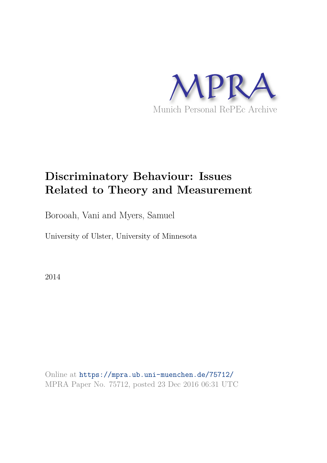

# **Discriminatory Behaviour: Issues Related to Theory and Measurement**

Borooah, Vani and Myers, Samuel

University of Ulster, University of Minnesota

2014

Online at https://mpra.ub.uni-muenchen.de/75712/ MPRA Paper No. 75712, posted 23 Dec 2016 06:31 UTC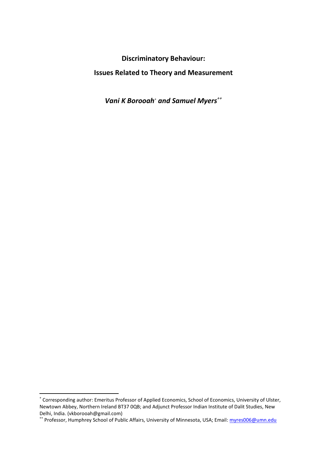**Discriminatory Behaviour:** 

# **Issues Related to Theory and Measurement**

*Vani K Borooah<sup>+</sup> and Samuel Myers++*

<u>.</u>

<sup>+</sup> Corresponding author: Emeritus Professor of Applied Economics, School of Economics, University of Ulster, Newtown Abbey, Northern Ireland BT37 0QB; and Adjunct Professor Indian Institute of Dalit Studies, New Delhi, India. (vkborooah@gmail.com)

<sup>&</sup>lt;sup>++</sup> Professor, Humphrey School of Public Affairs, University of Minnesota, USA; Email: *myres006@umn.edu*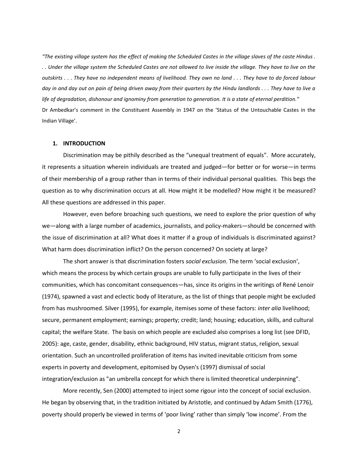*"The existing village system has the effect of making the Scheduled Castes in the village slaves of the caste Hindus . . . Under the village system the Scheduled Castes are not allowed to live inside the village. They have to live on the outskirts . . . They have no independent means of livelihood. They own no land . . . They have to do forced labour day in and day out on pain of being driven away from their quarters by the Hindu landlords . . . They have to live a life of degradation, dishonour and ignominy from generation to generation. It is a state of eternal perdition."* Dr Ambedkar's comment in the Constituent Assembly in 1947 on the 'Status of the Untouchable Castes in the Indian Village'.

#### **1. INTRODUCTION**

Discrimination may be pithily described as the "unequal treatment of equals". More accurately, it represents a situation wherein individuals are treated and judged—for better or for worse—in terms of their membership of a group rather than in terms of their individual personal qualities. This begs the question as to why discrimination occurs at all. How might it be modelled? How might it be measured? All these questions are addressed in this paper.

 However, even before broaching such questions, we need to explore the prior question of why we—along with a large number of academics, journalists, and policy-makers—should be concerned with the issue of discrimination at all? What does it matter if a group of individuals is discriminated against? What harm does discrimination inflict? On the person concerned? On society at large?

The short answer is that discrimination fosters *social exclusion*. The term 'social exclusion', which means the process by which certain groups are unable to fully participate in the lives of their communities, which has concomitant consequences—has, since its origins in the writings of René Lenoir (1974), spawned a vast and eclectic body of literature, as the list of things that people might be excluded from has mushroomed. Silver (1995), for example, itemises some of these factors: *inter alia* livelihood; secure, permanent employment; earnings; property; credit; land; housing; education, skills, and cultural capital; the welfare State. The basis on which people are excluded also comprises a long list (see DFID, 2005): age, caste, gender, disability, ethnic background, HIV status, migrant status, religion, sexual orientation. Such an uncontrolled proliferation of items has invited inevitable criticism from some experts in poverty and development, epitomised by Oysen's (1997) dismissal of social integration/exclusion as "an umbrella concept for which there is limited theoretical underpinning".

 More recently, Sen (2000) attempted to inject some rigour into the concept of social exclusion. He began by observing that, in the tradition initiated by Aristotle, and continued by Adam Smith (1776), poverty should properly be viewed in terms of 'poor living' rather than simply 'low income'. From the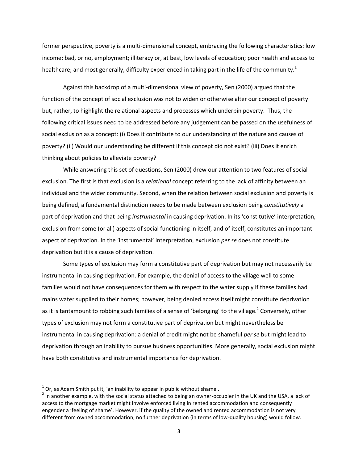former perspective, poverty is a multi-dimensional concept, embracing the following characteristics: low income; bad, or no, employment; illiteracy or, at best, low levels of education; poor health and access to healthcare; and most generally, difficulty experienced in taking part in the life of the community.<sup>1</sup>

 Against this backdrop of a multi-dimensional view of poverty, Sen (2000) argued that the function of the concept of social exclusion was not to widen or otherwise alter our concept of poverty but, rather, to highlight the relational aspects and processes which underpin poverty. Thus, the following critical issues need to be addressed before any judgement can be passed on the usefulness of social exclusion as a concept: (i) Does it contribute to our understanding of the nature and causes of poverty? (ii) Would our understanding be different if this concept did not exist? (iii) Does it enrich thinking about policies to alleviate poverty?

 While answering this set of questions, Sen (2000) drew our attention to two features of social exclusion. The first is that exclusion is a *relational* concept referring to the lack of affinity between an individual and the wider community. Second, when the relation between social exclusion and poverty is being defined, a fundamental distinction needs to be made between exclusion being *constitutively* a part of deprivation and that being *instrumental* in causing deprivation. In its 'constitutive' interpretation, exclusion from some (or all) aspects of social functioning in itself, and of itself, constitutes an important aspect of deprivation. In the 'instrumental' interpretation, exclusion *per se* does not constitute deprivation but it is a cause of deprivation.

 Some types of exclusion may form a constitutive part of deprivation but may not necessarily be instrumental in causing deprivation. For example, the denial of access to the village well to some families would not have consequences for them with respect to the water supply if these families had mains water supplied to their homes; however, being denied access itself might constitute deprivation as it is tantamount to robbing such families of a sense of 'belonging' to the village.<sup>2</sup> Conversely, other types of exclusion may not form a constitutive part of deprivation but might nevertheless be instrumental in causing deprivation: a denial of credit might not be shameful *per se* but might lead to deprivation through an inability to pursue business opportunities. More generally, social exclusion might have both constitutive and instrumental importance for deprivation.

 $\overline{\phantom{0}}$ 

 $^1$  Or, as Adam Smith put it, 'an inability to appear in public without shame'.

<sup>&</sup>lt;sup>2</sup> In another example, with the social status attached to being an owner-occupier in the UK and the USA, a lack of access to the mortgage market might involve enforced living in rented accommodation and consequently engender a 'feeling of shame'. However, if the quality of the owned and rented accommodation is not very different from owned accommodation, no further deprivation (in terms of low-quality housing) would follow.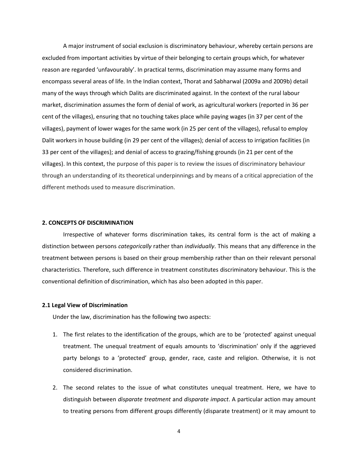A major instrument of social exclusion is discriminatory behaviour, whereby certain persons are excluded from important activities by virtue of their belonging to certain groups which, for whatever reason are regarded 'unfavourably'. In practical terms, discrimination may assume many forms and encompass several areas of life. In the Indian context, Thorat and Sabharwal (2009a and 2009b) detail many of the ways through which Dalits are discriminated against. In the context of the rural labour market, discrimination assumes the form of denial of work, as agricultural workers (reported in 36 per cent of the villages), ensuring that no touching takes place while paying wages (in 37 per cent of the villages), payment of lower wages for the same work (in 25 per cent of the villages), refusal to employ Dalit workers in house building (in 29 per cent of the villages); denial of access to irrigation facilities (in 33 per cent of the villages); and denial of access to grazing/fishing grounds (in 21 per cent of the villages). In this context, the purpose of this paper is to review the issues of discriminatory behaviour through an understanding of its theoretical underpinnings and by means of a critical appreciation of the different methods used to measure discrimination.

## **2. CONCEPTS OF DISCRIMINATION**

Irrespective of whatever forms discrimination takes, its central form is the act of making a distinction between persons *categorically* rather than *individually*. This means that any difference in the treatment between persons is based on their group membership rather than on their relevant personal characteristics. Therefore, such difference in treatment constitutes discriminatory behaviour. This is the conventional definition of discrimination, which has also been adopted in this paper.

# **2.1 Legal View of Discrimination**

Under the law, discrimination has the following two aspects:

- 1. The first relates to the identification of the groups, which are to be 'protected' against unequal treatment. The unequal treatment of equals amounts to 'discrimination' only if the aggrieved party belongs to a 'protected' group, gender, race, caste and religion. Otherwise, it is not considered discrimination.
- 2. The second relates to the issue of what constitutes unequal treatment. Here, we have to distinguish between *disparate treatment* and *disparate impact*. A particular action may amount to treating persons from different groups differently (disparate treatment) or it may amount to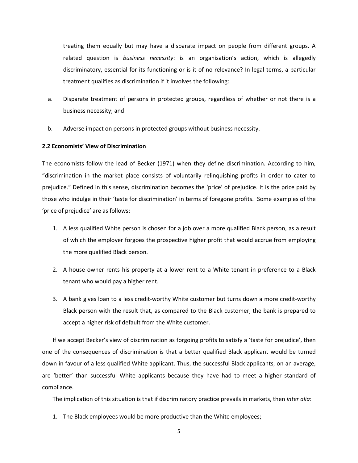treating them equally but may have a disparate impact on people from different groups. A related question is *business necessity*: is an organisation's action, which is allegedly discriminatory, essential for its functioning or is it of no relevance? In legal terms, a particular treatment qualifies as discrimination if it involves the following:

- a. Disparate treatment of persons in protected groups, regardless of whether or not there is a business necessity; and
- b. Adverse impact on persons in protected groups without business necessity.

# **2.2 Economists' View of Discrimination**

The economists follow the lead of Becker (1971) when they define discrimination. According to him, "discrimination in the market place consists of voluntarily relinquishing profits in order to cater to prejudice." Defined in this sense, discrimination becomes the 'price' of prejudice. It is the price paid by those who indulge in their 'taste for discrimination' in terms of foregone profits. Some examples of the 'price of prejudice' are as follows:

- 1. A less qualified White person is chosen for a job over a more qualified Black person, as a result of which the employer forgoes the prospective higher profit that would accrue from employing the more qualified Black person.
- 2. A house owner rents his property at a lower rent to a White tenant in preference to a Black tenant who would pay a higher rent.
- 3. A bank gives loan to a less credit-worthy White customer but turns down a more credit-worthy Black person with the result that, as compared to the Black customer, the bank is prepared to accept a higher risk of default from the White customer.

If we accept Becker's view of discrimination as forgoing profits to satisfy a 'taste for prejudice', then one of the consequences of discrimination is that a better qualified Black applicant would be turned down in favour of a less qualified White applicant. Thus, the successful Black applicants, on an average, are 'better' than successful White applicants because they have had to meet a higher standard of compliance.

The implication of this situation is that if discriminatory practice prevails in markets, then *inter alia*:

1. The Black employees would be more productive than the White employees;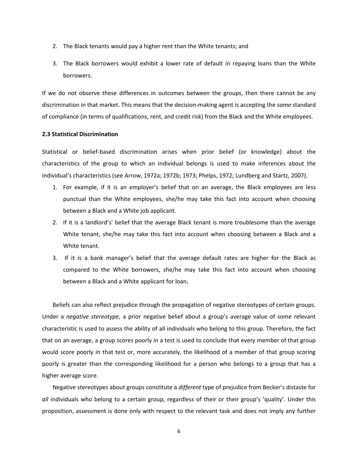- 2. The Black tenants would pay a higher rent than the White tenants; and
- 3. The Black borrowers would exhibit a lower rate of default in repaying loans than the White borrowers.

If we do not observe these differences in outcomes between the groups, then there cannot be any discrimination in that market. This means that the decision-making agent is accepting the *same* standard of compliance (in terms of qualifications, rent, and credit risk) from the Black and the White employees.

# **2.3 Statistical Discrimination**

Statistical or belief-based discrimination arises when prior belief (or knowledge) about the characteristics of the group to which an individual belongs is used to make inferences about the individual's characteristics (see Arrow, 1972a; 1972b; 1973; Phelps, 1972; Lundberg and Startz, 2007).

- 1. For example, if it is an employer's belief that on an average, the Black employees are less punctual than the White employees, she/he may take this fact into account when choosing between a Black and a White job applicant.
- 2. If it is a landlord's' belief that the average Black tenant is more troublesome than the average White tenant, she/he may take this fact into account when choosing between a Black and a White tenant.
- 3. If it is a bank manager's belief that the average default rates are higher for the Black as compared to the White borrowers, she/he may take this fact into account when choosing between a Black and a White applicant for loan**.**

Beliefs can also reflect prejudice through the propagation of negative stereotypes of certain groups. Under a *negative stereotype*, a prior negative belief about a group's average value of some relevant characteristic is used to assess the ability of all individuals who belong to this group. Therefore, the fact that on an average, a group scores poorly in a test is used to conclude that every member of that group would score poorly in that test or, more accurately, the likelihood of a member of that group scoring poorly is greater than the corresponding likelihood for a person who belongs to a group that has a higher average score.

Negative stereotypes about groups constitute a *different* type of prejudice from Becker's distaste for *all* individuals who belong to a certain group, regardless of their or their group's 'quality'. Under this proposition, assessment is done only with respect to the relevant task and does not imply any further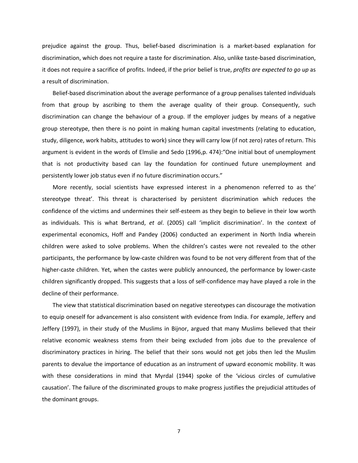prejudice against the group. Thus, belief-based discrimination is a market-based explanation for discrimination, which does not require a taste for discrimination. Also, unlike taste-based discrimination, it does not require a sacrifice of profits. Indeed, if the prior belief is true, *profits are expected to go up* as a result of discrimination.

Belief-based discrimination about the average performance of a group penalises talented individuals from that group by ascribing to them the average quality of their group. Consequently, such discrimination can change the behaviour of a group. If the employer judges by means of a negative group stereotype, then there is no point in making human capital investments (relating to education, study, diligence, work habits, attitudes to work) since they will carry low (if not zero) rates of return. This argument is evident in the words of Elmslie and Sedo (1996,p. 474):"One initial bout of unemployment that is not productivity based can lay the foundation for continued future unemployment and persistently lower job status even if no future discrimination occurs."

More recently, social scientists have expressed interest in a phenomenon referred to as the' stereotype threat'. This threat is characterised by persistent discrimination which reduces the confidence of the victims and undermines their self-esteem as they begin to believe in their low worth as individuals. This is what Bertrand, *et al*. (2005) call 'implicit discrimination'. In the context of experimental economics, Hoff and Pandey (2006) conducted an experiment in North India wherein children were asked to solve problems. When the children's castes were not revealed to the other participants, the performance by low-caste children was found to be not very different from that of the higher-caste children. Yet, when the castes were publicly announced, the performance by lower-caste children significantly dropped. This suggests that a loss of self-confidence may have played a role in the decline of their performance.

The view that statistical discrimination based on negative stereotypes can discourage the motivation to equip oneself for advancement is also consistent with evidence from India. For example, Jeffery and Jeffery (1997), in their study of the Muslims in Bijnor, argued that many Muslims believed that their relative economic weakness stems from their being excluded from jobs due to the prevalence of discriminatory practices in hiring. The belief that their sons would not get jobs then led the Muslim parents to devalue the importance of education as an instrument of upward economic mobility. It was with these considerations in mind that Myrdal (1944) spoke of the 'vicious circles of cumulative causation'. The failure of the discriminated groups to make progress justifies the prejudicial attitudes of the dominant groups.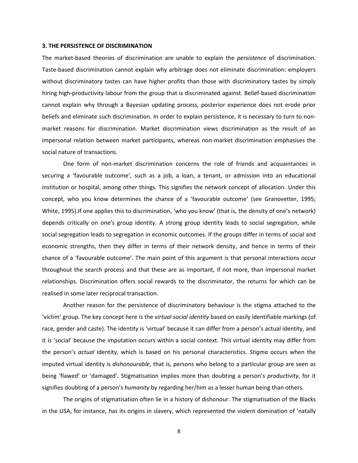#### **3. THE PERSISTENCE OF DISCRIMINATION**

The market-based theories of discrimination are unable to explain the *persistence* of discrimination. Taste-based discrimination cannot explain why arbitrage does not eliminate discrimination: employers without discriminatory tastes can have higher profits than those with discriminatory tastes by simply hiring high-productivity labour from the group that is discriminated against. Belief-based discrimination cannot explain why through a Bayesian updating process, posterior experience does not erode prior beliefs and eliminate such discrimination. In order to explain persistence, it is necessary to turn to nonmarket reasons for discrimination. Market discrimination views discrimination as the result of an impersonal relation between market participants, whereas non-market discrimination emphasises the social nature of transactions.

One form of non-market discrimination concerns the role of friends and acquaintances in securing a 'favourable outcome', such as a job, a loan, a tenant, or admission into an educational institution or hospital, among other things. This signifies the network concept of allocation. Under this concept, who you know determines the chance of a 'favourable outcome' (see Granovetter, 1995; White, 1995).If one applies this to discrimination, 'who you know' (that is, the density of one's network) depends critically on one's group identity. A strong group identity leads to social segregation, while social segregation leads to segregation in economic outcomes. If the groups differ in terms of social and economic strengths, then they differ in terms of their network density, and hence in terms of their chance of a 'favourable outcome'. The main point of this argument is that personal interactions occur throughout the search process and that these are as important, if not more, than impersonal market relationships. Discrimination offers social rewards to the discriminator, the returns for which can be realised in some later reciprocal transaction.

Another reason for the persistence of discriminatory behaviour is the stigma attached to the 'victim' group. The key concept here is the *virtual social identity* based on easily identifiable markings (of race, gender and caste). The identity is 'virtual' because it can differ from a person's actual identity, and it is 'social' because the imputation occurs within a social context. This virtual identity may differ from the person's *actual* identity, which is based on his personal characteristics. *Stigma* occurs when the imputed virtual identity is *dishonourable*, that is, persons who belong to a particular group are seen as being 'flawed' or 'damaged'. Stigmatisation implies more than doubting a person's *productivity*, for it signifies doubting of a person's *humanity* by regarding her/him as a lesser human being than others.

The origins of stigmatisation often lie in a history of dishonour. The stigmatisation of the Blacks in the USA, for instance, has its origins in slavery, which represented the violent domination of 'natally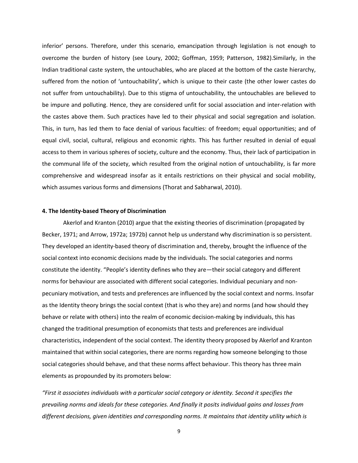inferior' persons. Therefore, under this scenario, emancipation through legislation is not enough to overcome the burden of history (see Loury, 2002; Goffman, 1959; Patterson, 1982).Similarly, in the Indian traditional caste system, the untouchables, who are placed at the bottom of the caste hierarchy, suffered from the notion of 'untouchability', which is unique to their caste (the other lower castes do not suffer from untouchability). Due to this stigma of untouchability, the untouchables are believed to be impure and polluting. Hence, they are considered unfit for social association and inter-relation with the castes above them. Such practices have led to their physical and social segregation and isolation. This, in turn, has led them to face denial of various faculties: of freedom; equal opportunities; and of equal civil, social, cultural, religious and economic rights. This has further resulted in denial of equal access to them in various spheres of society, culture and the economy. Thus, their lack of participation in the communal life of the society, which resulted from the original notion of untouchability, is far more comprehensive and widespread insofar as it entails restrictions on their physical and social mobility, which assumes various forms and dimensions (Thorat and Sabharwal, 2010).

#### **4. The Identity-based Theory of Discrimination**

Akerlof and Kranton (2010) argue that the existing theories of discrimination (propagated by Becker, 1971; and Arrow, 1972a; 1972b) cannot help us understand why discrimination is so persistent. They developed an identity-based theory of discrimination and, thereby, brought the influence of the social context into economic decisions made by the individuals. The social categories and norms constitute the identity. "People's identity defines who they are—their social category and different norms for behaviour are associated with different social categories. Individual pecuniary and nonpecuniary motivation, and tests and preferences are influenced by the social context and norms. Insofar as the Identity theory brings the social context (that is who they are) and norms (and how should they behave or relate with others) into the realm of economic decision-making by individuals, this has changed the traditional presumption of economists that tests and preferences are individual characteristics, independent of the social context. The identity theory proposed by Akerlof and Kranton maintained that within social categories, there are norms regarding how someone belonging to those social categories should behave, and that these norms affect behaviour. This theory has three main elements as propounded by its promoters below:

*"First it associates individuals with a particular social category or identity. Second it specifies the prevailing norms and ideals for these categories. And finally it posits individual gains and losses from different decisions, given identities and corresponding norms. It maintains that identity utility which is*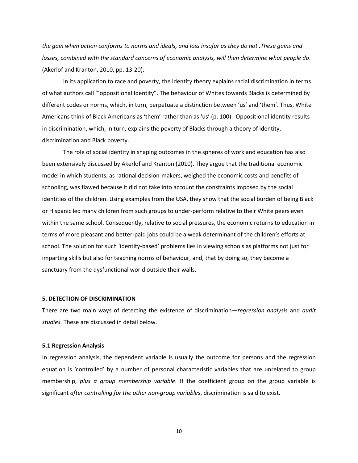*the gain when action conforms to norms and ideals, and loss insofar as they do not .These gains and losses, combined with the standard concerns of economic analysis, will then determine what people do*. (Akerlof and Kranton, 2010, pp. 13-20).

In its application to race and poverty, the identity theory explains racial discrimination in terms of what authors call "'oppositional Identity". The behaviour of Whites towards Blacks is determined by different codes or norms, which, in turn, perpetuate a distinction between 'us' and 'them'. Thus, White Americans think of Black Americans as 'them' rather than as 'us' (p. 100). Oppositional identity results in discrimination, which, in turn, explains the poverty of Blacks through a theory of identity, discrimination and Black poverty.

The role of social identity in shaping outcomes in the spheres of work and education has also been extensively discussed by Akerlof and Kranton (2010). They argue that the traditional economic model in which students, as rational decision-makers, weighed the economic costs and benefits of schooling, was flawed because it did not take into account the constraints imposed by the social identities of the children. Using examples from the USA, they show that the social burden of being Black or Hispanic led many children from such groups to under-perform relative to their White peers even within the same school. Consequently, relative to social pressures, the economic returns to education in terms of more pleasant and better-paid jobs could be a weak determinant of the children's efforts at school. The solution for such 'identity-based' problems lies in viewing schools as platforms not just for imparting skills but also for teaching norms of behaviour, and, that by doing so, they become a sanctuary from the dysfunctional world outside their walls.

# **5. DETECTION OF DISCRIMINATION**

There are two main ways of detecting the existence of discrimination—*regression analysis* and *audit studies.* These are discussed in detail below.

#### **5.1 Regression Analysis**

In regression analysis, the dependent variable is usually the outcome for persons and the regression equation is 'controlled' by a number of personal characteristic variables that are unrelated to group membership, *plus a group membership variable*. If the coefficient group on the group variable is significant *after controlling for the other non-group variables*, discrimination is said to exist.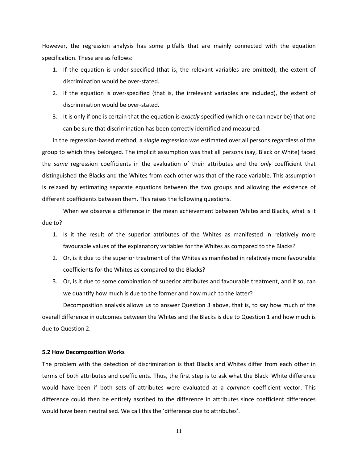However, the regression analysis has some pitfalls that are mainly connected with the equation specification. These are as follows:

- 1. If the equation is under-specified (that is, the relevant variables are omitted), the extent of discrimination would be over-stated.
- 2. If the equation is over-specified (that is, the irrelevant variables are included), the extent of discrimination would be over-stated.
- 3. It is only if one is certain that the equation is *exactly* specified (which one can never be) that one can be sure that discrimination has been correctly identified and measured.

In the regression-based method, a *single* regression was estimated over all persons regardless of the group to which they belonged. The implicit assumption was that all persons (say, Black or White) faced the *same* regression coefficients in the evaluation of their attributes and the *only* coefficient that distinguished the Blacks and the Whites from each other was that of the race variable. This assumption is relaxed by estimating separate equations between the two groups and allowing the existence of different coefficients between them. This raises the following questions.

When we observe a difference in the mean achievement between Whites and Blacks, what is it due to?

- 1. Is it the result of the superior attributes of the Whites as manifested in relatively more favourable values of the explanatory variables for the Whites as compared to the Blacks?
- 2. Or, is it due to the superior treatment of the Whites as manifested in relatively more favourable coefficients for the Whites as compared to the Blacks?
- 3. Or, is it due to some combination of superior attributes and favourable treatment, and if so, can we quantify how much is due to the former and how much to the latter?

Decomposition analysis allows us to answer Question 3 above, that is, to say how much of the overall difference in outcomes between the Whites and the Blacks is due to Question 1 and how much is due to Question 2.

# **5.2 How Decomposition Works**

The problem with the detection of discrimination is that Blacks and Whites differ from each other in terms of both attributes and coefficients. Thus, the first step is to ask what the Black–White difference would have been if both sets of attributes were evaluated at a *common* coefficient vector. This difference could then be entirely ascribed to the difference in attributes since coefficient differences would have been neutralised. We call this the 'difference due to attributes'.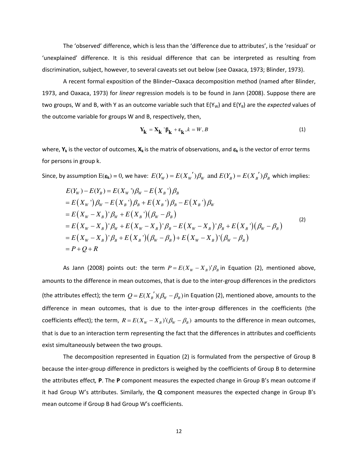The 'observed' difference, which is less than the 'difference due to attributes', is the 'residual' or 'unexplained' difference. It is this residual difference that can be interpreted as resulting from discrimination, subject, however, to several caveats set out below (see Oaxaca, 1973; Blinder, 1973).

A recent formal exposition of the Blinder–Oaxaca decomposition method (named after Blinder, 1973, and Oaxaca, 1973) for *linear* regression models is to be found in Jann (2008). Suppose there are two groups, W and B, with Y as an outcome variable such that  $E(Y_W)$  and  $E(Y_B)$  are the *expected* values of the outcome variable for groups W and B, respectively, then,

$$
\mathbf{Y_k} = \mathbf{X_k}^\top \boldsymbol{\beta_k} + \boldsymbol{\epsilon_k}, k = W, B \tag{1}
$$

where,  $Y_k$  is the vector of outcomes,  $X_k$  is the matrix of observations, and  $\varepsilon_k$  is the vector of error terms for persons in group k.

Since, by assumption  $E(\varepsilon_k) = 0$ , we have:  $E(Y_w) = E(X_w')\beta_w$  and  $E(Y_B) = E(X_B')\beta_B$  which implies:

$$
E(Y_{W}) - E(Y_{B}) = E(X_{W})\beta_{W} - E(X_{B})\beta_{B}
$$
  
=  $E(X_{W})\beta_{W} - E(X_{B})\beta_{B} + E(X_{B})\beta_{B} - E(X_{B})\beta_{W}$   
=  $E(X_{W} - X_{B})'\beta_{W} + E(X_{B})\beta_{W} - \beta_{B}$   
=  $E(X_{W} - X_{B})'\beta_{W} + E(X_{W} - X_{B})'\beta_{B} - E(X_{W} - X_{B})'\beta_{B} + E(X_{B})\beta_{W} - \beta_{B}$   
=  $E(X_{W} - X_{B})'\beta_{B} + E(X_{B})\beta_{W} - \beta_{B} + E(X_{W} - X_{B})'\beta_{W} - \beta_{B}$   
=  $P + Q + R$  (2)

As Jann (2008) points out: the term  $P = E(X_w - X_B)'\beta_B$  in Equation (2), mentioned above, amounts to the difference in mean outcomes, that is due to the inter-group differences in the predictors (the attributes effect); the term  $Q$  =  $E(X_B^{'}) (\beta_w - \beta_B)$  in Equation (2), mentioned above, amounts to the difference in mean outcomes, that is due to the inter-group differences in the coefficients (the coefficients effect); the term,  $R = E(X_w - X_B)'(\beta_w - \beta_B)$  amounts to the difference in mean outcomes, that is due to an interaction term representing the fact that the differences in attributes and coefficients exist simultaneously between the two groups.

 The decomposition represented in Equation (2) is formulated from the perspective of Group B because the inter-group difference in predictors is weighed by the coefficients of Group B to determine the attributes effect*,* **P**. The **P** component measures the expected change in Group B's mean outcome if it had Group W's attributes. Similarly, the **Q** component measures the expected change in Group B's mean outcome if Group B had Group W's coefficients.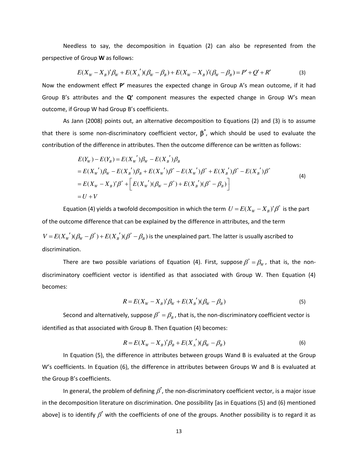Needless to say, the decomposition in Equation (2) can also be represented from the perspective of Group **W** as follows:

$$
E(X_{W} - X_{B})'\beta_{W} + E(X_{A}^{'})(\beta_{W} - \beta_{B}) + E(X_{W} - X_{B})'(\beta_{W} - \beta_{B}) = P' + Q' + R'
$$
\n(3)

Now the endowment effect P' measures the expected change in Group A's mean outcome, if it had Group B's attributes and the **Q'** component measures the expected change in Group W's mean outcome, if Group W had Group B's coefficients.

 As Jann (2008) points out, an alternative decomposition to Equations (2) and (3) is to assume that there is some non-discriminatory coefficient vector, **\*** , which should be used to evaluate the contribution of the difference in attributes. Then the outcome difference can be written as follows:

$$
E(Y_w) - E(Y_B) = E(X_w')\beta_w - E(X_B')\beta_B
$$
  
=  $E(X_w')\beta_w - E(X_B')\beta_B + E(X_w')\beta^* - E(X_w')\beta^* + E(X_B')\beta^* - E(X_B')\beta^*$   
=  $E(X_w - X_B)'\beta^* + \Big[E(X_w')(\beta_w - \beta^*) + E(X_B')(\beta^* - \beta_B)\Big]$   
=  $U + V$  (4)

Equation (4) yields a twofold decomposition in which the term  $\, U = E(X_{_W} - X_{_B})' \beta^* \,$  is the part of the outcome difference that can be explained by the difference in attributes, and the term  $V = E(X_{w}^{'})(\beta_{w} - \beta^{*}) + E(X_{B}^{'})(\beta^{*} - \beta_{B})$  is the unexplained part. The latter is usually ascribed to discrimination.

There are two possible variations of Equation (4). First, suppose  $\beta^* = \beta_w$ , that is, the nondiscriminatory coefficient vector is identified as that associated with Group W. Then Equation (4) becomes:

$$
R = E(XW - XB)'\betaW + E(XB')(\betaW - \betaB)
$$
\n(5)

Second and alternatively, suppose  $\beta^*$  =  $\beta_{\scriptscriptstyle B}$  , that is, the non-discriminatory coefficient vector is identified as that associated with Group B. Then Equation (4) becomes:

$$
R = E(XW - XB)'\betaB + E(XA')( \betaW - \betaB)
$$
 (6)

 In Equation (5), the difference in attributes between groups Wand B is evaluated at the Group W's coefficients. In Equation (6), the difference in attributes between Groups W and B is evaluated at the Group B's coefficients.

In general, the problem of defining  $\beta^*$ , the non-discriminatory coefficient vector, is a major issue in the decomposition literature on discrimination. One possibility [as in Equations (5) and (6) mentioned above] is to identify  $\beta^*$  with the coefficients of one of the groups. Another possibility is to regard it as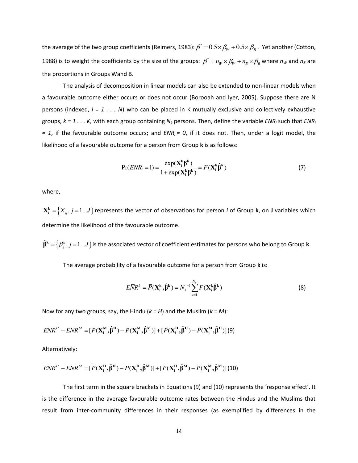the average of the two group coefficients (Reimers, 1983):  $\beta^*$  =  $0.5\times\beta_{_{\!W}}$  +  $0.5\times\beta_{_{\!B}}$  . Yet another (Cotton, 1988) is to weight the coefficients by the size of the groups:  $\beta^* = n_w \times \beta_w + n_B \times \beta_B$  where  $n_w$  and  $n_B$  are the proportions in Groups Wand B.

 The analysis of decomposition in linear models can also be extended to non-linear models when a favourable outcome either occurs or does not occur (Borooah and Iyer, 2005). Suppose there are N persons (indexed, *i = 1 . . . N*) who can be placed in K mutually exclusive and collectively exhaustive groups,  $k = 1...K$ , with each group containing  $N_k$  persons. Then, define the variable  $ENR_i$  such that  $ENR_i$ *= 1*, if the favourable outcome occurs; and *ENRi = 0*, if it does not. Then, under a logit model, the likelihood of a favourable outcome for a person from Group **k** is as follows:

$$
Pr(ENR_i = 1) = \frac{\exp(\mathbf{X}_i^k \mathbf{\beta}^k)}{1 + \exp(\mathbf{X}_i^k \mathbf{\beta}^k)} = F(\mathbf{X}_i^k \hat{\mathbf{\beta}}^k)
$$
(7)

where,

 $\mathbf{X^k_i} = \left\{X_{ij}, j = 1...J\right\}$  represents the vector of observations for person *i* of Group **k**, on **J** variables which determine the likelihood of the favourable outcome.

 $\hat{\bm{\beta}}^{\bf k}=\left\{\beta^k_j\,,j\!=\!1...J\right\}$  is the associated vector of coefficient estimates for persons who belong to Group **k**.

The average probability of a favourable outcome for a person from Group **k** is:

$$
E\overline{N}R^{k} = \overline{P}(\mathbf{X}_{i}^{k}, \hat{\beta}^{k}) = N_{k}^{-1} \sum_{i=1}^{N_{k}} F(\mathbf{X}_{i}^{k} \hat{\beta}^{k})
$$
\n(8)

Now for any two groups, say, the Hindu (*k = H*) and the Muslim (*k = M*):

$$
\overline{ENR}^{H} - \overline{ENR}^{M} = [\overline{P}(\mathbf{X}_{i}^{M}, \hat{\beta}^{H}) - \overline{P}(\mathbf{X}_{i}^{M}, \hat{\beta}^{M})] + [\overline{P}(\mathbf{X}_{i}^{H}, \hat{\beta}^{H}) - \overline{P}(\mathbf{X}_{i}^{M}, \hat{\beta}^{H})](9)
$$

Alternatively:

$$
\overline{ENR}^{H} - \overline{ENR}^{M} = [\overline{P}(\mathbf{X}_{i}^{H}, \hat{\beta}^{H}) - \overline{P}(\mathbf{X}_{i}^{H}, \hat{\beta}^{M})] + [\overline{P}(\mathbf{X}_{i}^{H}, \hat{\beta}^{M}) - \overline{P}(\mathbf{X}_{i}^{M}, \hat{\beta}^{M})](10)
$$

The first term in the square brackets in Equations (9) and (10) represents the 'response effect'. It is the difference in the average favourable outcome rates between the Hindus and the Muslims that result from inter-community differences in their responses (as exemplified by differences in the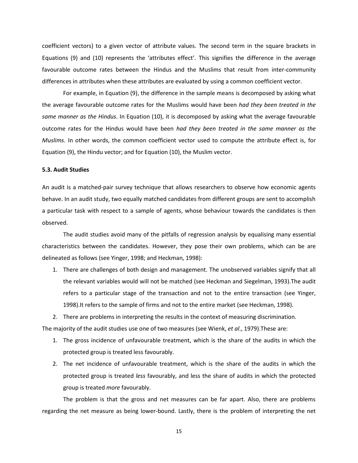coefficient vectors) to a given vector of attribute values. The second term in the square brackets in Equations (9) and (10) represents the 'attributes effect'. This signifies the difference in the average favourable outcome rates between the Hindus and the Muslims that result from inter-community differences in attributes when these attributes are evaluated by using a common coefficient vector.

For example, in Equation (9), the difference in the sample means is decomposed by asking what the average favourable outcome rates for the Muslims would have been *had they been treated in the same manner as the Hindus*. In Equation (10), it is decomposed by asking what the average favourable outcome rates for the Hindus would have been *had they been treated in the same manner as the Muslims*. In other words, the common coefficient vector used to compute the attribute effect is, for Equation (9), the Hindu vector; and for Equation (10), the Muslim vector.

# **5.3. Audit Studies**

An audit is a matched-pair survey technique that allows researchers to observe how economic agents behave. In an audit study, two equally matched candidates from different groups are sent to accomplish a particular task with respect to a sample of agents, whose behaviour towards the candidates is then observed.

The audit studies avoid many of the pitfalls of regression analysis by equalising many essential characteristics between the candidates. However, they pose their own problems, which can be are delineated as follows (see Yinger, 1998; and Heckman, 1998):

1. There are challenges of both design and management. The unobserved variables signify that all the relevant variables would will not be matched (see Heckman and Siegelman, 1993).The audit refers to a particular stage of the transaction and not to the entire transaction (see Yinger, 1998).It refers to the sample of firms and not to the entire market (see Heckman, 1998).

2. There are problems in interpreting the results in the context of measuring discrimination.

The majority of the audit studies use one of two measures (see Wienk, *et al*., 1979).These are:

- 1. The gross incidence of unfavourable treatment, which is the share of the audits in which the protected group is treated less favourably.
- 2. The net incidence of unfavourable treatment, which is the share of the audits in which the protected group is treated *less* favourably, and less the share of audits in which the protected group is treated *more* favourably.

The problem is that the gross and net measures can be far apart. Also, there are problems regarding the net measure as being lower-bound. Lastly, there is the problem of interpreting the net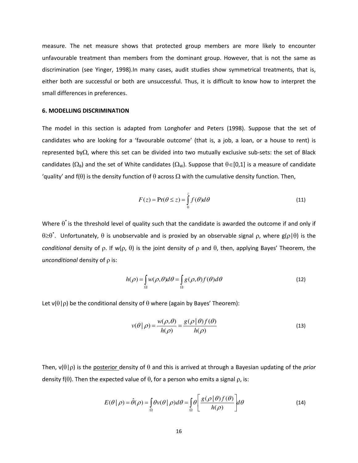measure. The net measure shows that protected group members are more likely to encounter unfavourable treatment than members from the dominant group. However, that is not the same as discrimination (see Yinger, 1998).In many cases, audit studies show symmetrical treatments, that is, either both are successful or both are unsuccessful. Thus, it is difficult to know how to interpret the small differences in preferences.

#### **6. MODELLING DISCRIMINATION**

The model in this section is adapted from Longhofer and Peters (1998). Suppose that the set of candidates who are looking for a 'favourable outcome' (that is, a job, a loan, or a house to rent) is represented by $\Omega$ , where this set can be divided into two mutually exclusive sub-sets: the set of Black candidates ( $\Omega_B$ ) and the set of White candidates ( $\Omega_w$ ). Suppose that  $\theta \in [0,1]$  is a measure of candidate 'quality' and f( $\theta$ ) is the density function of  $\theta$  across  $\Omega$  with the cumulative density function. Then,

$$
F(z) = \Pr(\theta \le z) = \int_{0}^{z} f(\theta) d\theta
$$
 (11)

Where  $\theta^*$  is the threshold level of quality such that the candidate is awarded the outcome if and only if  $\theta \geq 0^*$ . Unfortunately,  $\theta$  is unobservable and is proxied by an observable signal  $\rho$ , where g( $\rho$ | $\theta$ ) is the *conditional* density of  $\rho$ . If  $w(\rho, \theta)$  is the joint density of  $\rho$  and  $\theta$ , then, applying Bayes' Theorem, the *unconditional* density of  $\rho$  is:

$$
h(\rho) = \int_{\Omega} w(\rho, \theta) d\theta = \int_{\Omega} g(\rho, \theta) f(\theta) d\theta
$$
 (12)

Let  $v(\theta|\rho)$  be the conditional density of  $\theta$  where (again by Bayes' Theorem):

$$
v(\theta \mid \rho) = \frac{w(\rho, \theta)}{h(\rho)} = \frac{g(\rho \mid \theta) f(\theta)}{h(\rho)}
$$
(13)

Then,  $v(\theta|\rho)$  is the posterior density of  $\theta$  and this is arrived at through a Bayesian updating of the *prior* density f( $\theta$ ). Then the expected value of  $\theta$ , for a person who emits a signal  $\rho$ , is:

$$
E(\theta \mid \rho) = \hat{\theta}(\rho) = \int_{\Omega} \theta v(\theta \mid \rho) d\theta = \int_{\Omega} \theta \left[ \frac{g(\rho \mid \theta) f(\theta)}{h(\rho)} \right] d\theta \tag{14}
$$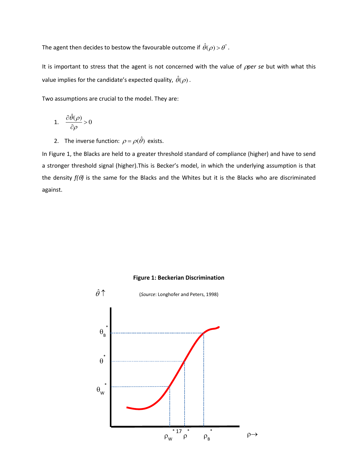The agent then decides to bestow the favourable outcome if  $\hat{\theta}(\rho)$  >  $\theta^*$  .

It is important to stress that the agent is not concerned with the value of *per se* but with what this value implies for the candidate's expected quality,  $\hat{\theta}(\rho)$ .

Two assumptions are crucial to the model. They are:

$$
1. \quad \frac{\partial \hat{\theta}(\rho)}{\partial \rho} > 0
$$

2. The inverse function:  $\rho = \rho(\hat{\theta})$  exists.

In Figure 1, the Blacks are held to a greater threshold standard of compliance (higher) and have to send a stronger threshold signal (higher).This is Becker's model, in which the underlying assumption is that the density  $f(\theta)$  is the same for the Blacks and the Whites but it is the Blacks who are discriminated against.



# **Figure 1: Beckerian Discrimination**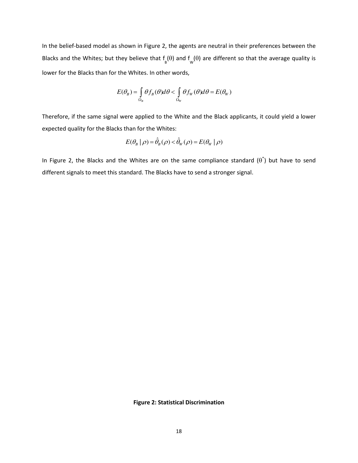In the belief-based model as shown in Figure 2, the agents are neutral in their preferences between the Blacks and the Whites; but they believe that  $f_g(\theta)$  and  $f_{w}(\theta)$  are different so that the average quality is lower for the Blacks than for the Whites. In other words,

$$
E(\theta_B) = \int_{\Omega_B} \theta f_B(\theta) d\theta < \int_{\Omega_W} \theta f_W(\theta) d\theta = E(\theta_W)
$$

Therefore, if the same signal were applied to the White and the Black applicants, it could yield a lower expected quality for the Blacks than for the Whites:

$$
E(\theta_B | \rho) = \hat{\theta}_B(\rho) < \hat{\theta}_W(\rho) = E(\theta_W | \rho)
$$

In Figure 2, the Blacks and the Whites are on the same compliance standard  $(\theta^*)$  but have to send different signals to meet this standard. The Blacks have to send a stronger signal.

# **Figure 2: Statistical Discrimination**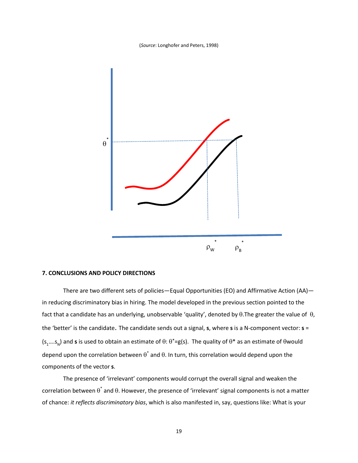#### (*Source*: Longhofer and Peters, 1998)



# **7. CONCLUSIONS AND POLICY DIRECTIONS**

There are two different sets of policies—Equal Opportunities (EO) and Affirmative Action (AA) in reducing discriminatory bias in hiring. The model developed in the previous section pointed to the fact that a candidate has an underlying, unobservable 'quality', denoted by  $\theta$ . The greater the value of  $\theta$ , the 'better' is the candidate. The candidate sends out a signal, **s**, where **s** is a N-component vector: **s** =  $(s_1....s_n)$  and **s** is used to obtain an estimate of  $\theta$ :  $\theta^*$ =g(s). The quality of  $\theta^*$  as an estimate of  $\theta$ would depend upon the correlation between  $\theta^*$  and  $\theta$ . In turn, this correlation would depend upon the components of the vector **s**.

The presence of 'irrelevant' components would corrupt the overall signal and weaken the correlation between  $\theta^*$  and  $\theta$ . However, the presence of 'irrelevant' signal components is not a matter of chance: *it reflects discriminatory bias*, which is also manifested in, say, questions like: What is your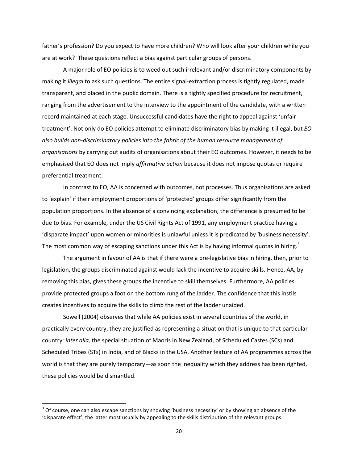father's profession? Do you expect to have more children? Who will look after your children while you are at work? These questions reflect a bias against particular groups of persons.

 A major role of EO policies is to weed out such irrelevant and/or discriminatory components by making it *illegal* to ask such questions. The entire signal-extraction process is tightly regulated, made transparent, and placed in the public domain. There is a tightly specified procedure for recruitment, ranging from the advertisement to the interview to the appointment of the candidate, with a written record maintained at each stage. Unsuccessful candidates have the right to appeal against 'unfair treatment'. Not only do EO policies attempt to eliminate discriminatory bias by making it illegal, but *EO also builds non-discriminatory policies into the fabric of the human resource management of organisations* by carrying out audits of organisations about their EO outcomes. However, it needs to be emphasised that EO does not imply *affirmative action* because it does not impose quotas or require preferential treatment.

 In contrast to EO, AA is concerned with outcomes, not processes. Thus organisations are asked to 'explain' if their employment proportions of 'protected' groups differ significantly from the population proportions. In the absence of a convincing explanation, the difference is presumed to be due to bias. For example, under the US Civil Rights Act of 1991, any employment practice having a 'disparate impact' upon women or minorities is unlawful unless it is predicated by 'business necessity'. The most common way of escaping sanctions under this Act is by having informal quotas in hiring.<sup>3</sup>

 The argument in favour of AA is that if there were a pre-legislative bias in hiring, then, prior to legislation, the groups discriminated against would lack the incentive to acquire skills. Hence, AA, by removing this bias, gives these groups the incentive to skill themselves. Furthermore, AA policies provide protected groups a foot on the bottom rung of the ladder. The confidence that this instils creates incentives to acquire the skills to climb the rest of the ladder unaided.

 Sowell (2004) observes that while AA policies exist in several countries of the world, in practically every country, they are justified as representing a situation that is unique to that particular country: *inter alia,* the special situation of Maoris in New Zealand, of Scheduled Castes (SCs) and Scheduled Tribes (STs) in India, and of Blacks in the USA. Another feature of AA programmes across the world is that they are purely temporary—as soon the inequality which they address has been righted, these policies would be dismantled.

 $\overline{\phantom{0}}$ 

 $3$  Of course, one can also escape sanctions by showing 'business necessity' or by showing an absence of the 'disparate effect', the latter most usually by appealing to the skills distribution of the relevant groups.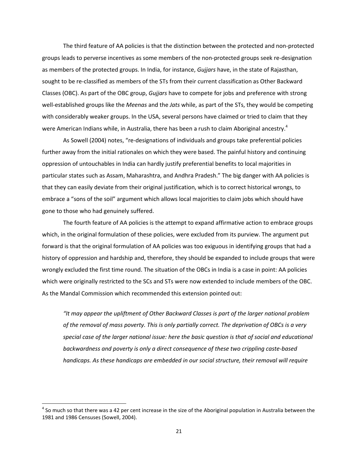The third feature of AA policies is that the distinction between the protected and non-protected groups leads to perverse incentives as some members of the non-protected groups seek re-designation as members of the protected groups. In India, for instance, *Gujjars* have, in the state of Rajasthan, sought to be re-classified as members of the STs from their current classification as Other Backward Classes (OBC). As part of the OBC group, *Gujjars* have to compete for jobs and preference with strong well-established groups like the *Meenas* and the *Jats* while, as part of the STs, they would be competing with considerably weaker groups. In the USA, several persons have claimed or tried to claim that they were American Indians while, in Australia, there has been a rush to claim Aboriginal ancestry.<sup>4</sup>

As Sowell (2004) notes, "re-designations of individuals and groups take preferential policies further away from the initial rationales on which they were based. The painful history and continuing oppression of untouchables in India can hardly justify preferential benefits to local majorities in particular states such as Assam, Maharashtra, and Andhra Pradesh." The big danger with AA policies is that they can easily deviate from their original justification, which is to correct historical wrongs, to embrace a "sons of the soil" argument which allows local majorities to claim jobs which should have gone to those who had genuinely suffered.

The fourth feature of AA policies is the attempt to expand affirmative action to embrace groups which, in the original formulation of these policies, were excluded from its purview. The argument put forward is that the original formulation of AA policies was too exiguous in identifying groups that had a history of oppression and hardship and, therefore, they should be expanded to include groups that were wrongly excluded the first time round. The situation of the OBCs in India is a case in point: AA policies which were originally restricted to the SCs and STs were now extended to include members of the OBC. As the Mandal Commission which recommended this extension pointed out:

*"It may appear the upliftment of Other Backward Classes is part of the larger national problem of the removal of mass poverty. This is only partially correct. The deprivation of OBCs is a very special case of the larger national issue: here the basic question is that of social and educational backwardness and poverty is only a direct consequence of these two crippling caste-based handicaps. As these handicaps are embedded in our social structure, their removal will require* 

 $\overline{\phantom{0}}$ 

 $^4$  So much so that there was a 42 per cent increase in the size of the Aboriginal population in Australia between the 1981 and 1986 Censuses (Sowell, 2004).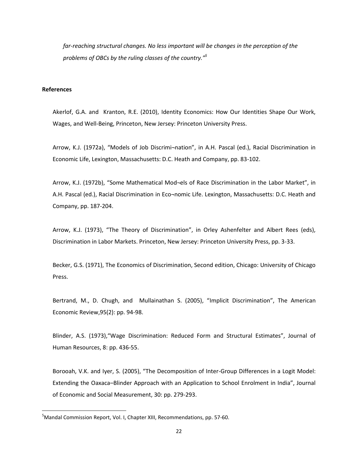*far-reaching structural changes. No less important will be changes in the perception of the problems of OBCs by the ruling classes of the country." 5* 

# **References**

l

Akerlof, G.A. and Kranton, R.E. (2010), Identity Economics: How Our Identities Shape Our Work, Wages, and Well-Being, Princeton, New Jersey: Princeton University Press.

Arrow, K.J. (1972a), "Models of Job Discrimi-nation", in A.H. Pascal (ed.), Racial Discrimination in Economic Life, Lexington, Massachusetts: D.C. Heath and Company, pp. 83-102.

Arrow, K.J. (1972b), "Some Mathematical Mod¬els of Race Discrimination in the Labor Market", in A.H. Pascal (ed.), Racial Discrimination in Eco¬nomic Life. Lexington, Massachusetts: D.C. Heath and Company, pp. 187-204.

Arrow, K.J. (1973), "The Theory of Discrimination", in Orley Ashenfelter and Albert Rees (eds), Discrimination in Labor Markets. Princeton, New Jersey: Princeton University Press, pp. 3-33.

Becker, G.S. (1971), The Economics of Discrimination, Second edition, Chicago: University of Chicago Press.

Bertrand, M., D. Chugh, and Mullainathan S. (2005), "Implicit Discrimination", The American Economic Review,95(2): pp. 94-98.

Blinder, A.S. (1973),"Wage Discrimination: Reduced Form and Structural Estimates", Journal of Human Resources, 8: pp. 436-55.

Borooah, V.K. and Iyer, S. (2005), "The Decomposition of Inter-Group Differences in a Logit Model: Extending the Oaxaca–Blinder Approach with an Application to School Enrolment in India", Journal of Economic and Social Measurement, 30: pp. 279-293.

<sup>&</sup>lt;sup>5</sup>Mandal Commission Report, Vol. I, Chapter XIII, Recommendations, pp. 57-60.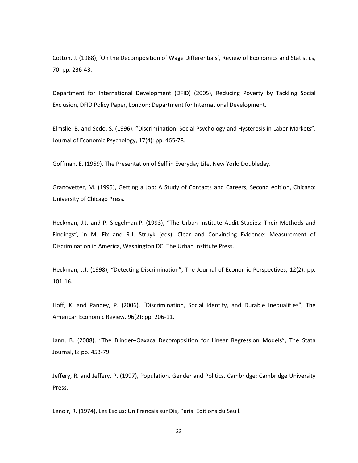Cotton, J. (1988), 'On the Decomposition of Wage Differentials', Review of Economics and Statistics, 70: pp. 236-43.

Department for International Development (DFID) (2005), Reducing Poverty by Tackling Social Exclusion, DFID Policy Paper, London: Department for International Development.

Elmslie, B. and Sedo, S. (1996), "Discrimination, Social Psychology and Hysteresis in Labor Markets", Journal of Economic Psychology, 17(4): pp. 465-78.

Goffman, E. (1959), The Presentation of Self in Everyday Life, New York: Doubleday.

Granovetter, M. (1995), Getting a Job: A Study of Contacts and Careers, Second edition, Chicago: University of Chicago Press.

Heckman, J.J. and P. Siegelman.P. (1993), "The Urban Institute Audit Studies: Their Methods and Findings", in M. Fix and R.J. Struyk (eds), Clear and Convincing Evidence: Measurement of Discrimination in America, Washington DC: The Urban Institute Press.

Heckman, J.J. (1998), "Detecting Discrimination", The Journal of Economic Perspectives, 12(2): pp. 101-16.

Hoff, K. and Pandey, P. (2006), "Discrimination, Social Identity, and Durable Inequalities", The American Economic Review, 96(2): pp. 206-11.

Jann, B. (2008), "The Blinder–Oaxaca Decomposition for Linear Regression Models", The Stata Journal, 8: pp. 453-79.

Jeffery, R. and Jeffery, P. (1997), Population, Gender and Politics, Cambridge: Cambridge University Press.

Lenoir, R. (1974), Les Exclus: Un Francais sur Dix, Paris: Editions du Seuil.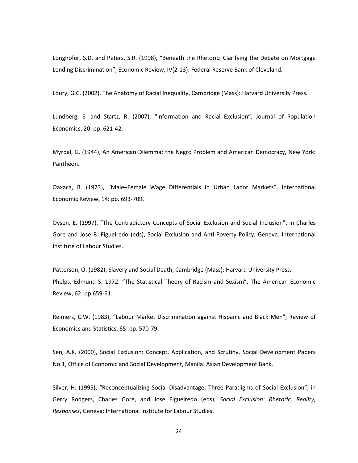Longhofer, S.D. and Peters, S.R. (1998), "Beneath the Rhetoric: Clarifying the Debate on Mortgage Lending Discrimination", Economic Review, IV(2-13): Federal Reserve Bank of Cleveland.

Loury, G.C. (2002), The Anatomy of Racial Inequality, Cambridge (Mass): Harvard University Press.

Lundberg, S. and Startz, R. (2007), "Information and Racial Exclusion", Journal of Population Economics, 20: pp. 621-42.

Myrdal, G. (1944), An American Dilemma: the Negro Problem and American Democracy, New York: Pantheon.

Oaxaca, R. (1973), "Male–Female Wage Differentials in Urban Labor Markets", International Economic Review, 14: pp. 693-709.

Oysen, E. (1997). "The Contradictory Concepts of Social Exclusion and Social Inclusion", in Charles Gore and Jose B. Figueiredo (eds), Social Exclusion and Anti-Poverty Policy, Geneva: International Institute of Labour Studies.

Patterson, O. (1982), Slavery and Social Death, Cambridge (Mass): Harvard University Press. Phelps, Edmund S. 1972. "The Statistical Theory of Racism and Sexism", The American Economic Review, 62: pp.659-61.

Reimers, C.W. (1983), "Labour Market Discrimination against Hispanic and Black Men", Review of Economics and Statistics, 65: pp. 570-79.

Sen, A.K. (2000), Social Exclusion: Concept, Application, and Scrutiny, Social Development Papers No.1, Office of Economic and Social Development, Manila: Asian Development Bank.

Silver, H. (1995), "Reconceptualizing Social Disadvantage: Three Paradigms of Social Exclusion", in Gerry Rodgers, Charles Gore, and Jose Figueiredo (eds), *Social Exclusion: Rhetoric, Reality, Responses*, Geneva: International Institute for Labour Studies.